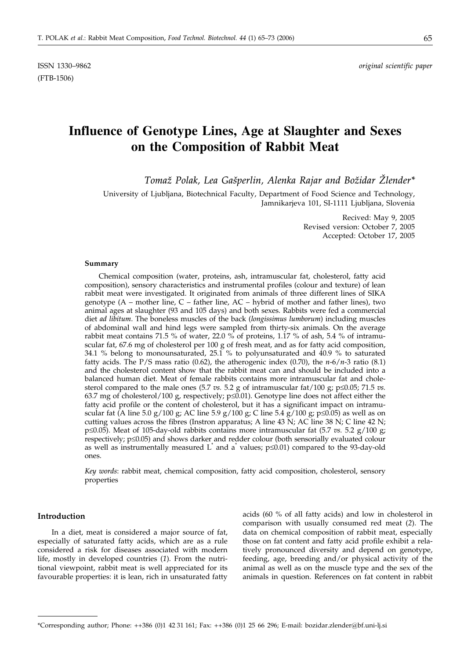ISSN 1330–9862 *original scientific paper*

# **Influence of Genotype Lines, Age at Slaughter and Sexes on the Composition of Rabbit Meat**

*Toma` Polak, Lea Ga{perlin, Alenka Rajar and Bo`idar @lender\**

University of Ljubljana, Biotechnical Faculty, Department of Food Science and Technology, Jamnikarjeva 101, SI-1111 Ljubljana, Slovenia

> Recived: May 9, 2005 Revised version: October 7, 2005 Accepted: October 17, 2005

## **Summary**

Chemical composition (water, proteins, ash, intramuscular fat, cholesterol, fatty acid composition), sensory characteristics and instrumental profiles (colour and texture) of lean rabbit meat were investigated. It originated from animals of three different lines of SIKA genotype  $(A - \text{mother line}, C - \text{father line}, AC - \text{hybrid of mother and father lines}),$  two animal ages at slaughter (93 and 105 days) and both sexes. Rabbits were fed a commercial diet *ad libitum*. The boneless muscles of the back (*longissimus lumborum*) including muscles of abdominal wall and hind legs were sampled from thirty-six animals. On the average rabbit meat contains 71.5 % of water, 22.0 % of proteins, 1.17 % of ash, 5.4 % of intramuscular fat,  $67.6$  mg of cholesterol per  $100$  g of fresh meat, and as for fatty acid composition, 34.1 % belong to monounsaturated, 25.1 % to polyunsaturated and 40.9 % to saturated fatty acids. The P/S mass ratio (0.62), the atherogenic index (0.70), the *n*-6/*n*-3 ratio (8.1) and the cholesterol content show that the rabbit meat can and should be included into a balanced human diet. Meat of female rabbits contains more intramuscular fat and cholesterol compared to the male ones  $(5.7 \text{ vs. } 5.2 \text{ g of intramuscular fat}/100 \text{ g}; p \leq 0.05; 71.5 \text{ vs. } 1.5 \text{ g}$ . 63.7 mg of cholesterol/100 g, respectively;  $p\leq0.01$ ). Genotype line does not affect either the fatty acid profile or the content of cholesterol, but it has a significant impact on intramuscular fat (A line 5.0 g/100 g; AC line 5.9 g/100 g; C line 5.4 g/100 g;  $p\leq 0.05$ ) as well as on cutting values across the fibres (Instron apparatus; A line  $43 \text{ N}$ ; AC line  $38 \text{ N}$ ; C line  $42 \text{ N}$ ;  $p\leq 0.05$ ). Meat of 105-day-old rabbits contains more intramuscular fat (5.7 *vs.* 5.2 g/100 g; respectively;  $p \le 0.05$ ) and shows darker and redder colour (both sensorially evaluated colour as well as instrumentally measured  $L^*$  and a $*$  values;  $p\leq 0.01$ ) compared to the 93-day-old ones.

*Key words*: rabbit meat, chemical composition, fatty acid composition, cholesterol, sensory properties

## **Introduction**

In a diet, meat is considered a major source of fat, especially of saturated fatty acids, which are as a rule considered a risk for diseases associated with modern life, mostly in developed countries (*1*). From the nutritional viewpoint, rabbit meat is well appreciated for its favourable properties: it is lean, rich in unsaturated fatty acids (60 % of all fatty acids) and low in cholesterol in comparison with usually consumed red meat (*2*). The data on chemical composition of rabbit meat, especially those on fat content and fatty acid profile exhibit a relatively pronounced diversity and depend on genotype, feeding, age, breeding and/or physical activity of the animal as well as on the muscle type and the sex of the animals in question. References on fat content in rabbit

<sup>\*</sup>Corresponding author; Phone: ++386 (0)1 42 31 161; Fax: ++386 (0)1 25 66 296; E-mail: bozidar.zlender*@*bf.uni-lj.si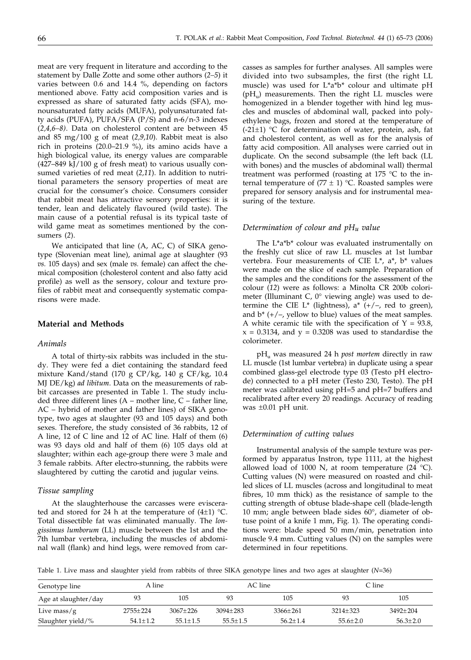meat are very frequent in literature and according to the statement by Dalle Zotte and some other authors (*2–5*) it varies between 0.6 and 14.4 %, depending on factors mentioned above. Fatty acid composition varies and is expressed as share of saturated fatty acids (SFA), monounsaturated fatty acids (MUFA), polyunsaturated fatty acids (PUFA), PUFA/SFA (P/S) and n-6/n-3 indexes (*2,4,6–8)*. Data on cholesterol content are between 45 and 85 mg/100 g of meat (*2,9,10*). Rabbit meat is also rich in proteins (20.0–21.9 %), its amino acids have a high biological value, its energy values are comparable (427–849 kJ/100 g of fresh meat) to various usually consumed varieties of red meat (*2,11*). In addition to nutritional parameters the sensory properties of meat are crucial for the consumer's choice. Consumers consider that rabbit meat has attractive sensory properties: it is tender, lean and delicately flavoured (wild taste). The main cause of a potential refusal is its typical taste of wild game meat as sometimes mentioned by the consumers (*2*).

We anticipated that line (A, AC, C) of SIKA genotype (Slovenian meat line), animal age at slaughter (93 *vs.* 105 days) and sex (male *vs.* female) can affect the chemical composition (cholesterol content and also fatty acid profile) as well as the sensory, colour and texture profiles of rabbit meat and consequently systematic comparisons were made.

## **Material and Methods**

## *Animals*

A total of thirty-six rabbits was included in the study. They were fed a diet containing the standard feed mixture Kand/stand (170 g CP/kg, 140 g CF/kg, 10.4 MJ DE/kg) *ad libitum*. Data on the measurements of rabbit carcasses are presented in Table 1. The study included three different lines  $(A - mother line, C - father line,$ AC – hybrid of mother and father lines) of SIKA genotype, two ages at slaughter (93 and 105 days) and both sexes. Therefore, the study consisted of 36 rabbits, 12 of A line, 12 of C line and 12 of AC line. Half of them (6) was 93 days old and half of them (6) 105 days old at slaughter; within each age-group there were 3 male and 3 female rabbits. After electro-stunning, the rabbits were slaughtered by cutting the carotid and jugular veins.

## *Tissue sampling*

At the slaughterhouse the carcasses were eviscerated and stored for 24 h at the temperature of  $(4\pm 1)$  °C. Total dissectible fat was eliminated manually. The *longissimus lumborum* (LL) muscle between the 1st and the 7th lumbar vertebra, including the muscles of abdominal wall (flank) and hind legs, were removed from carcasses as samples for further analyses. All samples were divided into two subsamples, the first (the right LL muscle) was used for L\*a\*b\* colour and ultimate pH  $(pH<sub>u</sub>)$  measurements. Then the right LL muscles were homogenized in a blender together with hind leg muscles and muscles of abdominal wall, packed into polyethylene bags, frozen and stored at the temperature of  $(-21\pm 1)$  °C for determination of water, protein, ash, fat and cholesterol content, as well as for the analysis of fatty acid composition. All analyses were carried out in duplicate. On the second subsample (the left back (LL with bones) and the muscles of abdominal wall) thermal treatment was performed (roasting at 175 °C to the internal temperature of (77  $\pm$  1) °C. Roasted samples were prepared for sensory analysis and for instrumental measuring of the texture.

## *Determination of colour and pHu value*

The L\*a\*b\* colour was evaluated instrumentally on the freshly cut slice of raw LL muscles at 1st lumbar vertebra. Four measurements of CIE L\*, a\*, b\* values were made on the slice of each sample. Preparation of the samples and the conditions for the assessment of the colour (*12*) were as follows: a Minolta CR 200b colorimeter (Illuminant C, 0° viewing angle) was used to determine the CIE L<sup>\*</sup> (lightness),  $a^*$  (+/-, red to green), and  $b^*$  (+/-, yellow to blue) values of the meat samples. A white ceramic tile with the specification of  $Y = 93.8$ ,  $x = 0.3134$ , and  $y = 0.3208$  was used to standardise the colorimeter.

pH<sub>u</sub> was measured 24 h *post mortem* directly in raw LL muscle (1st lumbar vertebra) in duplicate using a spear combined glass-gel electrode type 03 (Testo pH electrode) connected to a pH meter (Testo 230, Testo). The pH meter was calibrated using pH=5 and pH=7 buffers and recalibrated after every 20 readings. Accuracy of reading was ±0.01 pH unit.

## *Determination of cutting values*

Instrumental analysis of the sample texture was performed by apparatus Instron, type 1111, at the highest allowed load of 1000 N, at room temperature  $(24 \text{ °C})$ . Cutting values (N) were measured on roasted and chilled slices of LL muscles (across and longitudinal to meat fibres, 10 mm thick) as the resistance of sample to the cutting strength of obtuse blade-shape cell (blade-length 10 mm; angle between blade sides 60°, diameter of obtuse point of a knife 1 mm, Fig. 1). The operating conditions were: blade speed 50 mm/min, penetration into muscle 9.4 mm. Cutting values (N) on the samples were determined in four repetitions.

Table 1. Live mass and slaughter yield from rabbits of three SIKA genotype lines and two ages at slaughter (*N*=36)

| Genotype line        | A line-      |              |              | AC line      | C line       |              |  |
|----------------------|--------------|--------------|--------------|--------------|--------------|--------------|--|
| Age at slaughter/day | 93           | 105          | 93           | 105          | 93           | 105          |  |
| Live mass/ $g$       | $2755+224$   | $3067+226$   | $3094 + 283$ | $3366+261$   | $3214 + 323$ | $3492 + 204$ |  |
| Slaughter yield/%    | $54.1 + 1.2$ | $55.1 + 1.5$ | $55.5 + 1.5$ | $56.2 + 1.4$ | $55.6 + 2.0$ | $56.3 + 2.0$ |  |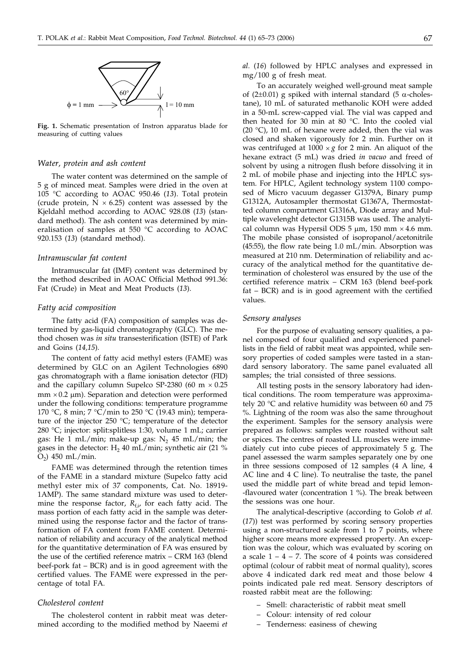

**Fig. 1.** Schematic presentation of Instron apparatus blade for measuring of cutting values

## *Water, protein and ash content*

The water content was determined on the sample of 5 g of minced meat. Samples were dried in the oven at 105 °C according to AOAC 950.46 (*13*). Total protein (crude protein,  $N \times 6.25$ ) content was assessed by the Kjeldahl method according to AOAC 928.08 (*13*) (standard method). The ash content was determined by mineralisation of samples at 550 °C according to AOAC 920.153 (*13*) (standard method).

## *Intramuscular fat content*

Intramuscular fat (IMF) content was determined by the method described in AOAC Official Method 991.36: Fat (Crude) in Meat and Meat Products (*13*).

## *Fatty acid composition*

The fatty acid (FA) composition of samples was determined by gas-liquid chromatography (GLC). The method chosen was *in situ* transesterification (ISTE) of Park and Goins (*14,15*).

The content of fatty acid methyl esters (FAME) was determined by GLC on an Agilent Technologies 6890 gas chromatograph with a flame ionisation detector (FID) and the capillary column Supelco SP-2380 (60 m  $\times$  0.25  $mm \times 0.2 \mu m$ ). Separation and detection were performed under the following conditions: temperature programme 170 °C, 8 min;  $7 \text{ °C/min}$  to 250 °C (19.43 min); temperature of the injector 250 °C; temperature of the detector 280 °C; injector: split:splitless 1:30, volume 1 mL; carrier gas: He 1 mL/min; make-up gas:  $N_2$  45 mL/min; the gases in the detector:  $H_2$  40 mL/min; synthetic air (21 %  $O_2$ ) 450 mL/min.

FAME was determined through the retention times of the FAME in a standard mixture (Supelco fatty acid methyl ester mix of 37 components, Cat. No. 18919- 1AMP). The same standard mixture was used to determine the response factor,  $R_{f,i}$  for each fatty acid. The mass portion of each fatty acid in the sample was determined using the response factor and the factor of transformation of FA content from FAME content. Determination of reliability and accuracy of the analytical method for the quantitative determination of FA was ensured by the use of the certified reference matrix – CRM 163 (blend beef-pork fat – BCR) and is in good agreement with the certified values. The FAME were expressed in the percentage of total FA.

## *Cholesterol content*

The cholesterol content in rabbit meat was determined according to the modified method by Naeemi *et* *al.* (*16*) followed by HPLC analyses and expressed in mg/100 g of fresh meat.

To an accurately weighed well-ground meat sample of (2 $\pm$ 0.01) g spiked with internal standard (5  $\alpha$ -cholestane), 10 mL of saturated methanolic KOH were added in a 50-mL screw-capped vial. The vial was capped and then heated for 30 min at 80 °C. Into the cooled vial (20  $^{\circ}$ C), 10 mL of hexane were added, then the vial was closed and shaken vigorously for 2 min. Further on it was centrifuged at  $1000 \times g$  for 2 min. An aliquot of the hexane extract (5 mL) was dried *in vacuo* and freed of solvent by using a nitrogen flush before dissolving it in 2 mL of mobile phase and injecting into the HPLC system. For HPLC, Agilent technology system 1100 composed of Micro vacuum degasser G1379A, Binary pump G1312A, Autosampler thermostat G1367A, Thermostatted column compartment G1316A, Diode array and Multiple wavelenght detector G1315B was used. The analytical column was Hypersil ODS  $5 \mu m$ , 150 mm  $\times 4.6$  mm. The mobile phase consisted of isopropanol/acetonitrile (45:55), the flow rate being 1.0 mL/min. Absorption was measured at 210 nm. Determination of reliability and accuracy of the analytical method for the quantitative determination of cholesterol was ensured by the use of the certified reference matrix – CRM 163 (blend beef-pork fat – BCR) and is in good agreement with the certified values.

## *Sensory analyses*

For the purpose of evaluating sensory qualities, a panel composed of four qualified and experienced panellists in the field of rabbit meat was appointed, while sensory properties of coded samples were tasted in a standard sensory laboratory. The same panel evaluated all samples; the trial consisted of three sessions.

All testing posts in the sensory laboratory had identical conditions. The room temperature was approximately 20 °C and relative humidity was between 60 and 75 %. Lightning of the room was also the same throughout the experiment. Samples for the sensory analysis were prepared as follows: samples were roasted without salt or spices. The centres of roasted LL muscles were immediately cut into cube pieces of approximately 5 g. The panel assessed the warm samples separately one by one in three sessions composed of 12 samples (4 A line, 4 AC line and 4 C line). To neutralise the taste, the panel used the middle part of white bread and tepid lemon- -flavoured water (concentration 1 %). The break between the sessions was one hour.

The analytical-descriptive (according to Golob *et al.* (*17*)) test was performed by scoring sensory properties using a non-structured scale from 1 to 7 points, where higher score means more expressed property. An exception was the colour, which was evaluated by scoring on a scale  $1 - 4 - 7$ . The score of 4 points was considered optimal (colour of rabbit meat of normal quality), scores above 4 indicated dark red meat and those below 4 points indicated pale red meat. Sensory descriptors of roasted rabbit meat are the following:

- Smell: characteristic of rabbit meat smell
- Colour: intensity of red colour
- Tenderness: easiness of chewing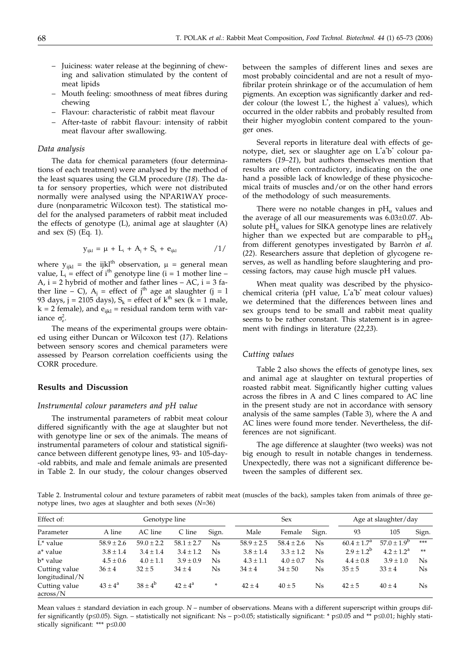- Juiciness: water release at the beginning of chewing and salivation stimulated by the content of meat lipids
- Mouth feeling: smoothness of meat fibres during chewing
- Flavour: characteristic of rabbit meat flavour
- After-taste of rabbit flavour: intensity of rabbit meat flavour after swallowing.

#### *Data analysis*

The data for chemical parameters (four determinations of each treatment) were analysed by the method of the least squares using the GLM procedure (*18*). The data for sensory properties, which were not distributed normally were analysed using the NPAR1WAY procedure (nonparametric Wilcoxon test). The statistical model for the analysed parameters of rabbit meat included the effects of genotype (L), animal age at slaughter (A) and sex (S) (Eq. 1).

$$
y_{ijkl} = \mu + L_i + A_j + S_k + e_{ijkl} \tag{1/}
$$

where  $y_{ijkl}$  = the ijkl<sup>th</sup> observation,  $\mu$  = general mean value,  $\vec{L}_i$  = effect of i<sup>th</sup> genotype line (i = 1 mother line – A,  $i = 2$  hybrid of mother and father lines  $- AC$ ,  $i = 3$  father line – C),  $A_i$  = effect of j<sup>th</sup> age at slaughter (j = l 93 days, j = 2105 days),  $S_k$  = effect of  $k^{th}$  sex ( $k = 1$  male,  $k = 2$  female), and  $e_{ijkl} =$  residual random term with variance  $\sigma_{\rm e}^2$ .

The means of the experimental groups were obtained using either Duncan or Wilcoxon test (*17*). Relations between sensory scores and chemical parameters were assessed by Pearson correlation coefficients using the CORR procedure.

## **Results and Discussion**

#### *Instrumental colour parameters and pH value*

The instrumental parameters of rabbit meat colour differed significantly with the age at slaughter but not with genotype line or sex of the animals. The means of instrumental parameters of colour and statistical significance between different genotype lines, 93- and 105-day- -old rabbits, and male and female animals are presented in Table 2. In our study, the colour changes observed

between the samples of different lines and sexes are most probably coincidental and are not a result of myofibrilar protein shrinkage or of the accumulation of hem pigments. An exception was significantly darker and redder colour (the lowest L\* , the highest a\* values), which occurred in the older rabbits and probably resulted from their higher myoglobin content compared to the younger ones.

Several reports in literature deal with effects of genotype, diet, sex or slaughter age on L\*a\*b\* colour parameters (*19–21*), but authors themselves mention that results are often contradictory, indicating on the one hand a possible lack of knowledge of these physicochemical traits of muscles and/or on the other hand errors of the methodology of such measurements.

There were no notable changes in  $pH<sub>u</sub>$  values and the average of all our measurements was 6.03±0.07. Absolute  $pH<sub>u</sub>$  values for SIKA genotype lines are relatively higher than we expected but are comparable to  $pH_{24}$ from different genotypes investigated by Barròn *et al.* (*22*). Researchers assure that depletion of glycogene reserves, as well as handling before slaughtering and processing factors, may cause high muscle pH values.

When meat quality was described by the physicochemical criteria (pH value, L'a'b' meat colour values) we determined that the differences between lines and sex groups tend to be small and rabbit meat quality seems to be rather constant. This statement is in agreement with findings in literature (*22,23*).

## *Cutting values*

Table 2 also shows the effects of genotype lines, sex and animal age at slaughter on textural properties of roasted rabbit meat. Significantly higher cutting values across the fibres in A and C lines compared to AC line in the present study are not in accordance with sensory analysis of the same samples (Table 3), where the A and AC lines were found more tender. Nevertheless, the differences are not significant.

The age difference at slaughter (two weeks) was not big enough to result in notable changes in tenderness. Unexpectedly, there was not a significant difference between the samples of different sex.

Table 2. Instrumental colour and texture parameters of rabbit meat (muscles of the back), samples taken from animals of three genotype lines, two ages at slaughter and both sexes (*N*=36)

| Effect of:<br>Genotype line     |                    |                | <b>Sex</b>     |             |                |                | Age at slaughter/day |                        |                        |                |
|---------------------------------|--------------------|----------------|----------------|-------------|----------------|----------------|----------------------|------------------------|------------------------|----------------|
| Parameter                       | A line             | AC line        | C line         | Sign.       | Male           | Female         | Sign.                | 93                     | 105                    | Sign.          |
| $L^*$ value                     | $58.9 \pm 2.6$     | $59.0 \pm 2.2$ | $58.1 \pm 2.7$ | $N_{\rm s}$ | $58.9 \pm 2.5$ | $58.4 \pm 2.6$ | Ns                   | $60.4 \pm 1.7^{\circ}$ | $57.0 \pm 1.9^{\circ}$ | ***            |
| a* value                        | $3.8 \pm 1.4$      | $3.4 \pm 1.4$  | $3.4 \pm 1.2$  | Ns          | $3.8 \pm 1.4$  | $3.3 \pm 1.2$  | Ns                   | $2.9 \pm 1.2^{b}$      | $4.2 \pm 1.2^{\rm a}$  | **             |
| b* value                        | $4.5 \pm 0.6$      | $4.0 \pm 1.1$  | $3.9 + 0.9$    | $N_{\rm s}$ | $4.3 \pm 1.1$  | $4.0 \pm 0.7$  | Ns                   | $4.4 \pm 0.8$          | $3.9 \pm 1.0$          | N <sub>s</sub> |
| Cutting value<br>longitudinal/N | $36 \pm 4$         | $32 \pm 5$     | $34 \pm 4$     | Ns          | $34 \pm 4$     | $34 \pm 50$    | Ns                   | $35 \pm 5$             | $33 \pm 4$             | <b>Ns</b>      |
| Cutting value<br>across/N       | $43 \pm 4^{\circ}$ | $38 + 4^b$     | $42 + 4^a$     | ÷           | $42 + 4$       | $40 \pm 5$     | Ns                   | $42 \pm 5$             | $40 \pm 4$             | N <sub>s</sub> |

Mean values±standard deviation in each group. *N* – number of observations. Means with a different superscript within groups differ significantly (p $\leq 0.05$ ). Sign. – statistically not significant: Ns – p $> 0.05$ ; statistically significant: \* p $\leq 0.05$  and \*\* p $\leq 0.01$ ; highly statistically significant: \*\*\*  $p \le 0.00$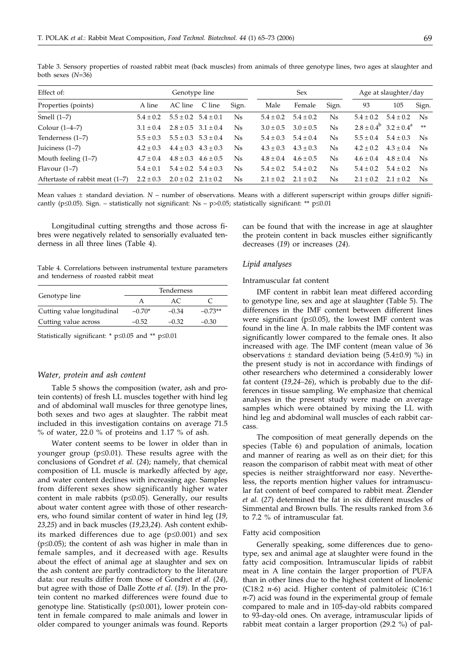$\pm 0.4$  4.8  $\pm 0.3$  4.6  $\pm$ 

 $\pm 0.1$  5.4  $\pm 0.2$  5.4  $\pm$ 

 $\pm 0.3$  2.0  $\pm 0.2$  2.1  $\pm$ 

Effect of: Genotype line Sex Age at slaughter/day Properties (points) A line AC line C line Sign. Male Female Sign. 93 105 Sign. Smell  $(1-7)$  5.4  $\pm$  0.2  $\pm 0.2$  5.5  $\pm 0.2$  5.4  $\pm$  $\pm 0.1$  Ns  $5.4 \pm 0.2$  5.4  $\pm$  $\pm 0.2$  Ns  $5.4 \pm 0.2$  5.4  $\pm$  $5.4 \pm 0.2$  Ns Colour  $(1-4-7)$  3.1  $\pm$  0.4  $\pm 0.4$  2.8  $\pm 0.5$  3.1  $\pm$  $Ns$   $3.0 + 0.5$  $3.0 + 0.5$  $\pm 0.5$  Ns  $2.8 \pm 0.4^{\circ}$  3.2  $\pm 0.4^{\circ}$  \*\* Tenderness  $(1-7)$  5.5  $\pm$  0.3  $\pm 0.3$  5.5  $\pm 0.3$  5.3  $\pm$  $\pm 0.4$  Ns  $5.4 \pm 0.3$  5.4  $\pm$  $\pm 0.4$  Ns  $5.5 \pm 0.4$   $5.4 \pm 0.3$  Ns  $\text{Iuiciness } (1-7)$  4.2  $\pm$  0.3  $\pm 0.3$  4.4  $\pm 0.3$  4.3  $\pm 0.3$  Ns 4.3  $\pm$  $4.3 + 0.3$   $4.3 + 0.3$  $\pm 0.3$  Ns  $4.2 \pm 0.2$   $4.3 \pm 0.4$  Ns

Table 3. Sensory properties of roasted rabbit meat (back muscles) from animals of three genotype lines, two ages at slaughter and both sexes (*N*=36)

Mean values ± standard deviation. *N* – number of observations. Means with a different superscript within groups differ significantly (p $\leq 0.05$ ). Sign. – statistically not significant: Ns – p $> 0.05$ ; statistically significant: \*\* p $\leq 0.01$ 

Longitudinal cutting strengths and those across fibres were negatively related to sensorially evaluated tenderness in all three lines (Table 4).

Table 4. Correlations between instrumental texture parameters and tenderness of roasted rabbit meat

|                            |          | Tenderness |           |
|----------------------------|----------|------------|-----------|
| Genotype line              |          | AC.        |           |
| Cutting value longitudinal | $-0.70*$ | $-0.34$    | $-0.73**$ |
| Cutting value across       | $-0.52$  | $-0.32$    | $-0.30$   |

Statistically significant: \*  $p \le 0.05$  and \*\*  $p \le 0.01$ 

Mouth feeling  $(1-7)$  4.7  $\pm$  0.4

Flavour  $(1-7)$  5.4  $\pm$  0.1

Aftertaste of rabbit meat  $(1–7)$  2.2  $\pm$  0.3

#### *Water, protein and ash content*

Table 5 shows the composition (water, ash and protein contents) of fresh LL muscles together with hind leg and of abdominal wall muscles for three genotype lines, both sexes and two ages at slaughter. The rabbit meat included in this investigation contains on average 71.5 % of water, 22.0 % of proteins and 1.17 % of ash.

Water content seems to be lower in older than in younger group ( $p \le 0.01$ ). These results agree with the conclusions of Gondret *et al.* (*24*); namely, that chemical composition of LL muscle is markedly affected by age, and water content declines with increasing age. Samples from different sexes show significantly higher water content in male rabbits ( $p \le 0.05$ ). Generally, our results about water content agree with those of other researchers, who found similar content of water in hind leg (*19, 23,25*) and in back muscles (*19,23,24*). Ash content exhibits marked differences due to age  $(p \le 0.001)$  and sex ( $p \le 0.05$ ); the content of ash was higher in male than in female samples, and it decreased with age. Results about the effect of animal age at slaughter and sex on the ash content are partly contradictory to the literature data: our results differ from those of Gondret *et al*. (*24*), but agree with those of Dalle Zotte *et al.* (*19*). In the protein content no marked differences were found due to genotype line. Statistically  $(p \le 0.001)$ , lower protein content in female compared to male animals and lower in older compared to younger animals was found. Reports

can be found that with the increase in age at slaughter the protein content in back muscles either significantly decreases (*19*) or increases (*24*).

Ns  $4.6 \pm 0.4$ 

 $\pm 0.2$  Ns  $5.4 \pm 0.2$  5.4  $\pm 0.2$  Ns

 $\pm 0.2$  Ns  $2.1 \pm 0.2$  2.1  $\pm 0.2$  Ns

 $\pm 0.4$  4.8  $\pm 0.4$  Ns

#### *Lipid analyses*

Ns  $4.8 \pm 0.4$ 

 $\pm 0.3$  Ns  $5.4 \pm 0.2$  5.4  $\pm$ 

 $\pm 0.2$  Ns  $2.1 \pm 0.2$   $2.1 \pm$ 

#### Intramuscular fat content

 $4.6 \pm 0.5$ 

IMF content in rabbit lean meat differed according to genotype line, sex and age at slaughter (Table 5). The differences in the IMF content between different lines were significant ( $p \le 0.05$ ), the lowest IMF content was found in the line A. In male rabbits the IMF content was significantly lower compared to the female ones. It also increased with age. The IMF content (mean value of 36 observations  $\pm$  standard deviation being (5.4 $\pm$ 0.9) %) in the present study is not in accordance with findings of other researchers who determined a considerably lower fat content (*19,24–26*), which is probably due to the differences in tissue sampling. We emphasize that chemical analyses in the present study were made on average samples which were obtained by mixing the LL with hind leg and abdominal wall muscles of each rabbit carcass.

The composition of meat generally depends on the species (Table 6) and population of animals, location and manner of rearing as well as on their diet; for this reason the comparison of rabbit meat with meat of other species is neither straightforward nor easy. Nevertheless, the reports mention higher values for intramuscular fat content of beef compared to rabbit meat. Žlender *et al.* (*27*) determined the fat in six different muscles of Simmental and Brown bulls. The results ranked from 3.6 to 7.2 % of intramuscular fat.

#### Fatty acid composition

Generally speaking, some differences due to genotype, sex and animal age at slaughter were found in the fatty acid composition. Intramuscular lipids of rabbit meat in A line contain the larger proportion of PUFA than in other lines due to the highest content of linolenic (C18:2 *n-*6) acid. Higher content of palmitoleic (C16:1 *n*-7) acid was found in the experimental group of female compared to male and in 105-day-old rabbits compared to 93-day-old ones. On average, intramuscular lipids of rabbit meat contain a larger proportion (29.2 %) of pal-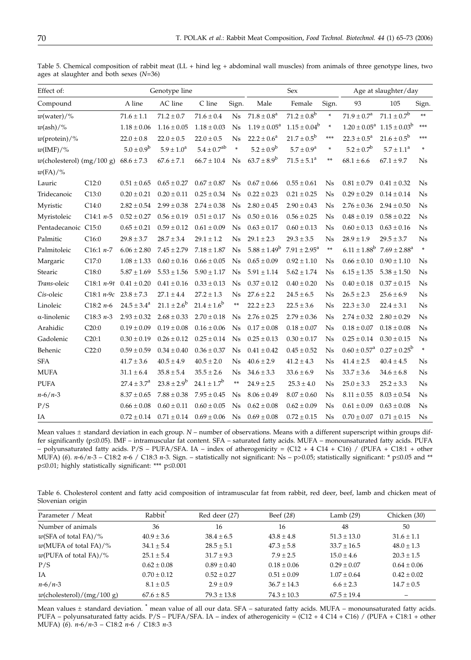| Effect of:<br>Genotype line  |                             |                        |                          | Sex                     |                |                            | Age at slaughter/day       |                |                           |                                     |                |
|------------------------------|-----------------------------|------------------------|--------------------------|-------------------------|----------------|----------------------------|----------------------------|----------------|---------------------------|-------------------------------------|----------------|
| Compound                     |                             | A line                 | $\operatorname{AC}$ line | C line                  | Sign.          | Male                       | Female                     | Sign.          | 93                        | 105                                 | Sign.          |
| $w(water)/\%$                |                             | $71.6 \pm 1.1$         | $71.2 \pm 0.7$           | $71.6 \pm 0.4$          | N <sub>s</sub> | $71.8 \pm 0.8^{\circ}$     | $71.2\pm0.8^{\text{b}}$    | $\ast$         | $71.9 \pm 0.7^{\rm a}$    | $71.1 \pm 0.7^b$                    | **             |
| $w(\text{ash})/$ %           |                             | $1.18 \pm 0.06$        | $1.16 \pm 0.05$          | $1.18 \pm 0.03$         | <b>Ns</b>      | $1.19 \pm 0.05^{\text{a}}$ | $1.15 \pm 0.04^b$          | $\ast$         |                           | $1.20 \pm 0.05^a$ $1.15 \pm 0.03^b$ | ***            |
| $w(\text{protein})/\%$       |                             | $22.0 \pm 0.8$         | $22.0 \pm 0.5$           | $22.0 \pm 0.5$          | <b>Ns</b>      | $22.2 \pm 0.6^a$           | $21.7 \pm 0.5^{\rm b}$     | ***            | $22.3 \pm 0.5^{\text{a}}$ | $21.6 \pm 0.5^b$                    | ***            |
| $w(\text{IMF})/\%$           |                             | $5.0 \pm 0.9^b$        | $5.9 \pm 1.0^a$          | $5.4\pm0.7^{\text{ab}}$ | $\ast$         | $5.2 \pm 0.9^b$            | $5.7 \pm 0.9^{\rm a}$      | $\ast$         | $5.2 \pm 0.7^b$           | $5.7 \pm 1.1^a$                     | $\ast$         |
| $w$ (cholesterol) (mg/100 g) |                             | $68.6 \pm 7.3$         | $67.6 \pm 7.1$           | $66.7 \pm 10.4$         | Ns             | $63.7 \pm 8.9^b$           | $71.5 \pm 5.1^a$           | **             | $68.1 \pm 6.6$            | $67.1 \pm 9.7$                      | Ns             |
| $w(\text{FA})/\%$            |                             |                        |                          |                         |                |                            |                            |                |                           |                                     |                |
| Lauric                       | C12:0                       | $0.51 \pm 0.65$        | $0.65 \pm 0.27$          | $0.67 \pm 0.87$         | Ns             | $0.67 \pm 0.66$            | $0.55 \pm 0.61$            | <b>Ns</b>      | $0.81 \pm 0.79$           | $0.41 \pm 0.32$                     | Ns             |
| Tridecanoic                  | C13:0                       | $0.20 \pm 0.21$        | $0.20 \pm 0.11$          | $0.25 \pm 0.34$         | <b>Ns</b>      | $0.22 \pm 0.23$            | $0.21 \pm 0.25$            | Ns             | $0.29 \pm 0.29$           | $0.14\pm0.14$                       | Ns             |
| Myristic                     | C14:0                       | $2.82 \pm 0.54$        | $2.99 \pm 0.38$          | $2.74 \pm 0.38$         | <b>Ns</b>      | $2.80 \pm 0.45$            | $2.90 \pm 0.43$            | <b>Ns</b>      | $2.76 \pm 0.36$           | $2.94 \pm 0.50$                     | N <sub>s</sub> |
| Myristoleic                  | C14:1 $n-5$                 | $0.52 \pm 0.27$        | $0.56 \pm 0.19$          | $0.51 \pm 0.17$         | <b>Ns</b>      | $0.50 \pm 0.16$            | $0.56 \pm 0.25$            | Ns             | $0.48 \pm 0.19$           | $0.58 \pm 0.22$                     | Ns             |
| Pentadecanoic C15:0          |                             | $0.65 \pm 0.21$        | $0.59 \pm 0.12$          | $0.61 \pm 0.09$         | <b>Ns</b>      | $0.63\pm0.17$              | $0.60 \pm 0.13$            | <b>Ns</b>      | $0.60 \pm 0.13$           | $0.63 \pm 0.16$                     | N <sub>s</sub> |
| Palmitic                     | C16:0                       | $29.8 \pm 3.7$         | $28.7 \pm 3.4$           | $29.1 \pm 1.2$          | Ns             | $29.1 \pm 2.3$             | $29.3 \pm 3.5$             | <b>Ns</b>      | $28.9 \pm 1.9$            | $29.5 \pm 3.7$                      | Ns             |
| Palmitoleic                  | $C16:1 n-7$                 | $6.06 \pm 2.80$        | $7.45 \pm 2.79$          | $7.18 \pm 1.87$         | Ns             | $5.88 \pm 1.49^b$          | $7.91 \pm 2.95^{\text{a}}$ | $\ast\ast$     | $6.11 \pm 1.88^b$         | $7.69 \pm 2.88^a$                   | $\ast$         |
| Margaric                     | C17:0                       | $1.08 \pm 1.33$        | $0.60 \pm 0.16$          | $0.66 \pm 0.05$         | Ns             | $0.65 \pm 0.09$            | $0.92 \pm 1.10$            | Ns             | $0.66 \pm 0.10$           | $0.90 \pm 1.10$                     | Ns             |
| Stearic                      | C18:0                       | $5.87 \pm 1.69$        | $5.53 \pm 1.56$          | $5.90\pm1.17$           | Ns             | $5.91 \pm 1.14$            | $5.62 \pm 1.74$            | Ns             | $6.15 \pm 1.35$           | $5.38 \pm 1.50$                     | Ns             |
| Trans-oleic                  | $C18:1 n-9t$                | $0.41 \pm 0.20$        | $0.41 \pm 0.16$          | $0.33 \pm 0.13$         | Ns             | $0.37 \pm 0.12$            | $0.40 \pm 0.20$            | Ns             | $0.40 \pm 0.18$           | $0.37 \pm 0.15$                     | Ns             |
| Cis-oleic                    | C18:1 $n-9c$ 23.8 $\pm$ 7.3 |                        | $27.1 \pm 4.4$           | $27.2 \pm 1.3$          | <b>Ns</b>      | $27.6 \pm 2.2$             | $24.5\pm6.5$               | <b>Ns</b>      | $26.5\pm2.3$              | $25.6 \pm 6.9$                      | N <sub>s</sub> |
| Linoleic                     | $C18:2n-6$                  | $24.5 \pm 3.4^a$       | $21.1 \pm 2.6^b$         | $21.4 \pm 1.6^b$        | **             | $22.2 \pm 2.3$             | $22.5 \pm 3.6$             | N <sub>s</sub> | $22.3 \pm 3.0$            | $22.4 \pm 3.1$                      | Ns             |
| α-linolenic                  | $C18:3n-3$                  | $2.93 \pm 0.32$        | $2.68 \pm 0.33$          | $2.70 \pm 0.18$         | Ns             | $2.76 \pm 0.25$            | $2.79 \pm 0.36$            | Ns             | $2.74\pm0.32$             | $2.80 \pm 0.29$                     | Ns             |
| Arahidic                     | C20:0                       | $0.19 \pm 0.09$        | $0.19 \pm 0.08$          | $0.16 \pm 0.06$         | <b>Ns</b>      | $0.17 \pm 0.08$            | $0.18 \pm 0.07$            | Ns             | $0.18\pm0.07$             | $0.18 \pm 0.08$                     | Ns             |
| Gadolenic                    | C20:1                       | $0.30 \pm 0.19$        | $0.26 \pm 0.12$          | $0.25 \pm 0.14$         | <b>Ns</b>      | $0.25\pm0.13$              | $0.30 \pm 0.17$            | <b>Ns</b>      | $0.25\pm0.14$             | $0.30\pm0.15$                       | N <sub>s</sub> |
| Behenic                      | C22:0                       | $0.59 \pm 0.59$        | $0.34 \pm 0.40$          | $0.36 \pm 0.37$         | <b>Ns</b>      | $0.41 \pm 0.42$            | $0.45 \pm 0.52$            | Ns             | $0.60 \pm 0.57^{\rm a}$   | $0.27 \pm 0.25^b$                   | $\ast$         |
| <b>SFA</b>                   |                             | $41.7 \pm 3.6$         | $40.5 \pm 4.9$           | $40.5 \pm 2.0$          | <b>Ns</b>      | $40.6 \pm 2.9$             | $41.2 \pm 4.3$             | <b>Ns</b>      | $41.4 \pm 2.5$            | $40.4 \pm 4.5$                      | N <sub>s</sub> |
| <b>MUFA</b>                  |                             | $31.1 \pm 6.4$         | $35.8 \pm 5.4$           | $35.5 \pm 2.6$          | Ns             | $34.6 \pm 3.3$             | $33.6 \pm 6.9$             | Ns             | $33.7 \pm 3.6$            | $34.6 \pm 6.8$                      | Ns             |
| <b>PUFA</b>                  |                             | $27.4 \pm 3.7^{\circ}$ | $23.8 \pm 2.9^b$         | $24.1 \pm 1.7^b$        | **             | $24.9 \pm 2.5$             | $25.3 \pm 4.0$             | <b>Ns</b>      | $25.0 \pm 3.3$            | $25.2 \pm 3.3$                      | N <sub>s</sub> |
| $n - 6/n - 3$                |                             | $8.37 \pm 0.65$        | $7.88 \pm 0.38$          | $7.95 \pm 0.45$         | <b>Ns</b>      | $8.06 \pm 0.49$            | $8.07 \pm 0.60$            | Ns             | $8.11 \pm 0.55$           | $8.03 \pm 0.54$                     | Ns             |
| P/S                          |                             | $0.66 \pm 0.08$        | $0.60 \pm 0.11$          | $0.60 \pm 0.05$         | <b>Ns</b>      | $0.62 \pm 0.08$            | $0.62 \pm 0.09$            | Ns             | $0.61 \pm 0.09$           | $0.63 \pm 0.08$                     | Ns             |
| IA                           |                             | $0.72\pm0.14$          | $0.71 \pm 0.14$          | $0.69 \pm 0.06$         | Ns             | $0.69 \pm 0.08$            | $0.72 \pm 0.15$            | Ns             | $0.70 \pm 0.07$           | $0.71 \pm 0.15$                     | Ns             |

Table 5. Chemical composition of rabbit meat (LL + hind leg + abdominal wall muscles) from animals of three genotype lines, two ages at slaughter and both sexes (*N*=36)

Mean values ± standard deviation in each group. *N* – number of observations. Means with a different superscript within groups differ significantly (p≤0.05). IMF – intramuscular fat content. SFA – saturated fatty acids. MUFA – monounsaturated fatty acids. PUFA – polyunsaturated fatty acids. P/S – PUFA/SFA. IA – index of atherogenicity = (C12 + 4 C14 + C16) / (PUFA + C18:1 + other MUFA) (6).  $n-6/n-3 - C18:2 n-6$  / C18:3  $n-3$ . Sign. – statistically not significant: Ns – p>0.05; statistically significant: \* p q 0.05 and \*\*  $p\leq 0.01$ ; highly statistically significant: \*\*\*  $p\leq 0.001$ 

Table 6. Cholesterol content and fatty acid composition of intramuscular fat from rabbit, red deer, beef, lamb and chicken meat of Slovenian origin

| Parameter / Meat                | Rabbit <sup>®</sup> | Red deer (27)   | Beef (28)       | Lamb $(29)$     | Chicken (30)    |
|---------------------------------|---------------------|-----------------|-----------------|-----------------|-----------------|
| Number of animals               | 36                  | 16              | 16              | 48              | 50              |
| $w(SFA \text{ of total FA})/\%$ | $40.9 \pm 3.6$      | $38.4 \pm 6.5$  | $43.8 \pm 4.8$  | $51.3 \pm 13.0$ | $31.6 \pm 1.1$  |
| $w(MUFA of total FA)/\%$        | $34.1 \pm 5.4$      | $28.5 \pm 5.1$  | $47.3 \pm 5.8$  | $33.7 \pm 16.5$ | $48.0 \pm 1.3$  |
| $w(PUFA of total FA)/\%$        | $25.1 \pm 5.4$      | $31.7 \pm 9.3$  | $7.9 + 2.5$     | $15.0 + 4.6$    | $20.3 \pm 1.5$  |
| P/S                             | $0.62 \pm 0.08$     | $0.89 \pm 0.40$ | $0.18 \pm 0.06$ | $0.29 \pm 0.07$ | $0.64 \pm 0.06$ |
| IA                              | $0.70 \pm 0.12$     | $0.52 \pm 0.27$ | $0.51 \pm 0.09$ | $1.07 \pm 0.64$ | $0.42 \pm 0.02$ |
| $n - 6/n - 3$                   | $8.1 \pm 0.5$       | $2.9 \pm 0.9$   | $36.7 \pm 14.3$ | $6.6 \pm 2.3$   | $14.7 \pm 0.5$  |
| $w$ (cholesterol)/(mg/100 g)    | $67.6 \pm 8.5$      | $79.3 \pm 13.8$ | $74.3 \pm 10.3$ | $67.5 + 19.4$   |                 |

Mean values ± standard deviation. <sup>\*</sup> mean value of all our data. SFA – saturated fatty acids. MUFA – monounsaturated fatty acids. PUFA – polyunsaturated fatty acids. P/S – PUFA/SFA. IA – index of atherogenicity = (C12 + 4 C14 + C16) / (PUFA + C18:1 + other MUFA) (*6*). *n*-6/*n*-3 – C18:2 *n*-6 / C18:3 *n*-3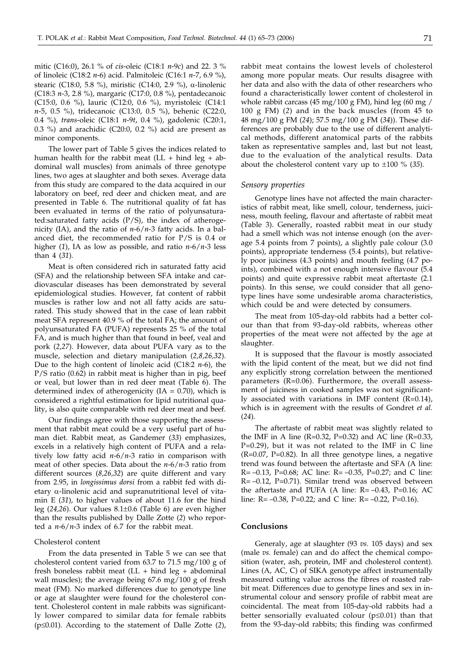mitic (C16:0), 26.1 % of *cis*-oleic (C18:1 *n*-9*c*) and 22. 3 % of linoleic (C18:2 *n*-6) acid. Palmitoleic (C16:1 *n*-7, 6.9 %), stearic (C18:0, 5.8 %), miristic (C14:0, 2.9 %),  $\alpha$ -linolenic (C18:3 *n*-3, 2.8 %), margaric (C17:0, 0.8 %), pentadecanoic (C15:0, 0.6 %), lauric (C12:0, 0.6 %), myristoleic (C14:1 *n*-5, 0.5 %), tridecanoic (C13:0, 0.5 %), behenic (C22:0, 0.4 %), *trans*-oleic (C18:1 *n*-9*t*, 0.4 %), gadolenic (C20:1, 0.3 %) and arachidic (C20:0, 0.2 %) acid are present as minor components.

The lower part of Table 5 gives the indices related to human health for the rabbit meat  $(LL + hind \leq H - ab - b)$ dominal wall muscles) from animals of three genotype lines, two ages at slaughter and both sexes. Average data from this study are compared to the data acquired in our laboratory on beef, red deer and chicken meat, and are presented in Table 6. The nutritional quality of fat has been evaluated in terms of the ratio of polyunsaturated:saturated fatty acids (P/S), the index of atherogenicity (IA), and the ratio of *n*-6/*n*-3 fatty acids. In a balanced diet, the recommended ratio for P/S is 0.4 or higher (*1*), IA as low as possible, and ratio *n*-6/*n*-3 less than 4 (*31*).

Meat is often considered rich in saturated fatty acid (SFA) and the relationship between SFA intake and cardiovascular diseases has been demonstrated by several epidemiological studies. However, fat content of rabbit muscles is rather low and not all fatty acids are saturated. This study showed that in the case of lean rabbit meat SFA represent 40.9 % of the total FA; the amount of polyunsaturated FA (PUFA) represents 25 % of the total FA, and is much higher than that found in beef, veal and pork (*2,27*). However, data about PUFA vary as to the muscle, selection and dietary manipulation (*2,8,26,32*). Due to the high content of linoleic acid (C18:2 *n*-6), the P/S ratio (0.62) in rabbit meat is higher than in pig, beef or veal, but lower than in red deer meat (Table 6). The determined index of atherogenicity  $(IA = 0.70)$ , which is considered a rightful estimation for lipid nutritional quality, is also quite comparable with red deer meat and beef.

Our findings agree with those supporting the assessment that rabbit meat could be a very useful part of human diet. Rabbit meat, as Gandemer (*33*) emphasizes, excels in a relatively high content of PUFA and a relatively low fatty acid *n*-6/*n*-3 ratio in comparison with meat of other species. Data about the *n*-6/*n*-3 ratio from different sources (*8,26,32*) are quite different and vary from 2.95, in *longissimus dorsi* from a rabbit fed with dietary  $\alpha$ -linolenic acid and supranutritional level of vitamin E (*31*), to higher values of about 11.6 for the hind leg (24*,*26). Our values 8.1±0.6 (Table 6) are even higher than the results published by Dalle Zotte (*2*) who reported a *n*-6/*n*-3 index of 6.7 for the rabbit meat.

## Cholesterol content

From the data presented in Table 5 we can see that cholesterol content varied from 63.7 to 71.5 mg/100 g of fresh boneless rabbit meat  $(LL + hind \leq H)$  abdominal wall muscles); the average being 67.6 mg/100 g of fresh meat (FM). No marked differences due to genotype line or age at slaughter were found for the cholesterol content. Cholesterol content in male rabbits was significantly lower compared to similar data for female rabbits ( $p \leq 0.01$ ). According to the statement of Dalle Zotte  $(2)$ , rabbit meat contains the lowest levels of cholesterol among more popular meats. Our results disagree with her data and also with the data of other researchers who found a characteristically lower content of cholesterol in whole rabbit carcass (45 mg/100 g FM), hind leg (60 mg / 100 g FM) (*2*) and in the back muscles (from 45 to 48 mg/100 g FM (*24*); 57.5 mg/100 g FM (*34*)). These differences are probably due to the use of different analytical methods, different anatomical parts of the rabbits taken as representative samples and, last but not least, due to the evaluation of the analytical results. Data about the cholesterol content vary up to ±100 % (35).

#### *Sensory properties*

Genotype lines have not affected the main characteristics of rabbit meat, like smell, colour, tenderness, juiciness, mouth feeling, flavour and aftertaste of rabbit meat (Table 3). Generally, roasted rabbit meat in our study had a smell which was not intense enough (on the average 5.4 points from 7 points), a slightly pale colour (3.0 points), appropriate tenderness (5.4 points), but relatively poor juiciness (4.3 points) and mouth feeling (4.7 points), combined with a not enough intensive flavour (5.4 points) and quite expressive rabbit meat aftertaste (2.1 points). In this sense, we could consider that all genotype lines have some undesirable aroma characteristics, which could be and were detected by consumers.

The meat from 105-day-old rabbits had a better colour than that from 93-day-old rabbits, whereas other properties of the meat were not affected by the age at slaughter.

It is supposed that the flavour is mostly associated with the lipid content of the meat, but we did not find any explicitly strong correlation between the mentioned parameters (R=0.06). Furthermore, the overall assessment of juiciness in cooked samples was not significantly associated with variations in IMF content (R=0.14), which is in agreement with the results of Gondret *et al.* (*24*).

The aftertaste of rabbit meat was slightly related to the IMF in A line (R=0.32, P=0.32) and AC line (R=0.33, P=0.29), but it was not related to the IMF in C line  $(R=0.07, P=0.82)$ . In all three genotype lines, a negative trend was found between the aftertaste and SFA (A line:  $R = -0.13$ , P=0.68; AC line:  $R = -0.35$ , P=0.27; and C line: R= –0.12, P=0.71). Similar trend was observed between the aftertaste and PUFA (A line:  $R = -0.43$ ,  $P = 0.16$ ; AC line:  $R = -0.38$ ,  $P = 0.22$ ; and C line:  $R = -0.22$ ,  $P = 0.16$ ).

## **Conclusions**

Generaly, age at slaughter (93 *vs.* 105 days) and sex (male *vs.* female) can and do affect the chemical composition (water, ash, protein, IMF and cholesterol content). Lines (A, AC, C) of SIKA genotype affect instrumentally measured cutting value across the fibres of roasted rabbit meat. Differences due to genotype lines and sex in instrumental colour and sensory profile of rabbit meat are coincidental. The meat from 105-day-old rabbits had a better sensorially evaluated colour  $(p \le 0.01)$  than that from the 93-day-old rabbits; this finding was confirmed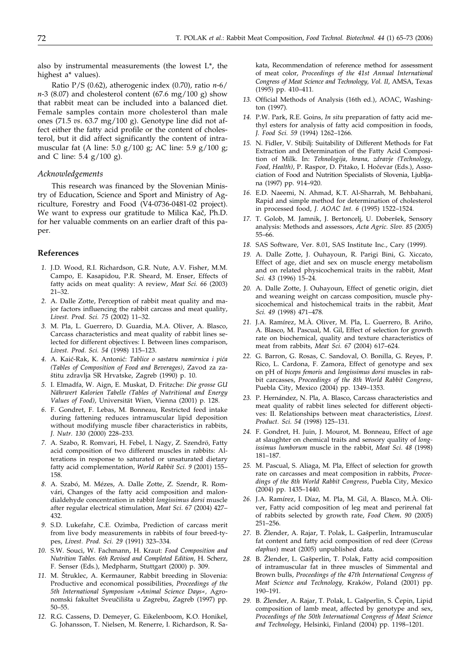also by instrumental measurements (the lowest  $L^*$ , the highest a\* values).

Ratio P/S (0.62), atherogenic index (0.70), ratio *n*-6/ *n*-3 (8.07) and cholesterol content (67.6 mg/100 g) show that rabbit meat can be included into a balanced diet. Female samples contain more cholesterol than male ones (71.5 *vs*. 63.7 mg/100 g). Genotype line did not affect either the fatty acid profile or the content of cholesterol, but it did affect significantly the content of intramuscular fat (A line: 5.0 g/100 g; AC line: 5.9 g/100 g; and C line:  $5.4$  g/ $100$  g).

## *Acknowledgements*

This research was financed by the Slovenian Ministry of Education, Science and Sport and Ministry of Agriculture, Forestry and Food (V4-0736-0481-02 project). We want to express our gratitude to Milica Kač, Ph.D. for her valuable comments on an earlier draft of this paper.

## **References**

- *1.* J.D. Wood, R.I. Richardson, G.R. Nute, A.V. Fisher, M.M. Campo, E. Kasapidou, P.R. Sheard, M. Enser, Effects of fatty acids on meat quality: A review, *Meat Sci. 66* (2003) 21–32.
- *2.* A. Dalle Zotte, Perception of rabbit meat quality and major factors influencing the rabbit carcass and meat quality, *Livest. Prod. Sci. 75* (2002) 11–32.
- *3.* M. Pla, L. Guerrero, D. Guardia, M.A. Oliver, A. Blasco, Carcass characteristics and meat quality of rabbit lines selected for different objectives: I. Between lines comparison, *Livest. Prod. Sci. 54* (1998) 115–123.
- *4.* A. Kai}-Rak, K. Antoni}: *Tablice o sastavu namirnica i pi}a (Tables of Composition of Food and Beverages)*, Zavod za za štitu zdravlja SR Hrvatske, Zagreb (1990) p. 10.
- *5.* I. Elmadfa, W. Aign, E. Muskat, D. Fritzche: *Die grosse GU Nährwert Kalorien Tabelle (Tables of Nutritional and Energy Values of Food)*, Universität Wien, Vienna (2001) p. 128.
- *6.* F. Gondret, F. Lebas, M. Bonneau, Restricted feed intake during fattening reduces intramuscular lipid deposition without modifying muscle fiber characteristics in rabbits, *J. Nutr. 130* (2000) 228–233*.*
- *7.* A. Szabo, R. Romvari, H. Febel, I. Nagy, Z. Szendrö, Fatty acid composition of two different muscles in rabbits: Alterations in response to saturated or unsaturated dietary fatty acid complementation, *World Rabbit Sci. 9* (2001) 155– 158*.*
- *8.* A. Szabó, M. Mézes, A. Dalle Zotte, Z. Szendr, R. Romvári, Changes of the fatty acid composition and malondialdehyde concentration in rabbit *longissimus dorsi* muscle after regular electrical stimulation, *Meat Sci. 67* (2004) 427– 432*.*
- *9.* S.D. Lukefahr, C.E. Ozimba, Prediction of carcass merit from live body measurements in rabbits of four breed-types, *Livest. Prod. Sci. 29* (1991) 323–334*.*
- *10.* S.W. Souci, W. Fachmann, H. Kraut: *Food Composition and Nutrition Tables. 6th Revised and Completed Edition*, H. Scherz, F. Senser (Eds.), Medpharm, Stuttgart (2000) p. 309.
- 11. M. Štruklec, A. Kermauner, Rabbit breeding in Slovenia: Productive and economical possibilities, *Proceedings of the 5th International Symposium »Animal Science Days«,* Agronomski fakultet Sveučilišta u Zagrebu, Zagreb (1997) pp. 50–55.
- *12.* R.G. Cassens, D. Demeyer, G. Eikelenboom, K.O. Honikel, G. Johansson, T. Nielsen, M. Renerre, I. Richardson, R. Sa-

kata, Recommendation of reference method for assessment of meat color, *Proceedings of the 41st Annual International Congress of Meat Science and Technology, Vol. II*, AMSA, Texas (1995) pp. 410–411*.*

- *13.* Official Methods of Analysis (16th ed.), AOAC, Washington (1997)*.*
- *14.* P.W. Park, R.E. Goins, *In situ* preparation of fatty acid methyl esters for analysis of fatty acid composition in foods, *J. Food Sci. 59* (1994) 1262–1266*.*
- *15.* N. Fidler, V. Stibilj: Suitability of Different Methods for Fat Extraction and Determination of the Fatty Acid Composition of Milk. In: *Tehnologija, hrana, zdravje (Technology, Food, Health), P. Raspor, D. Pitako, I. Hočevar (Eds.), Asso*ciation of Food and Nutrition Specialists of Slovenia, Ljubljana (1997) pp. 914–920*.*
- *16.* E.D. Naeemi, N. Ahmad, K.T. Al-Sharrah, M. Behbahani, Rapid and simple method for determination of cholesterol in processed food, *J. AOAC Int. 6* (1995) 1522–1524*.*
- 17. T. Golob, M. Jamnik, J. Bertoncelj, U. Doberšek, Sensory analysis: Methods and assessors, *Acta Agric. Slov. 85* (2005) 55–66.
- *18.* SAS Software, Ver. 8.01, SAS Institute Inc., Cary (1999)*.*
- *19.* A. Dalle Zotte, J. Ouhayoun, R. Parigi Bini, G. Xiccato, Effect of age, diet and sex on muscle energy metabolism and on related physicochemical traits in the rabbit*, Meat Sci. 43* (1996) 15–24*.*
- *20.* A. Dalle Zotte, J. Ouhayoun, Effect of genetic origin, diet and weaning weight on carcass composition, muscle physicochemical and histochemical traits in the rabbit, *Meat Sci. 49* (1998) 471–478*.*
- *21.* J.A. Ramírez, M.À. Oliver, M. Pla, L. Guerrero, B. Ariño, A. Blasco, M. Pascual, M. Gil, Effect of selection for growth rate on biochemical, quality and texture characteristics of meat from rabbits, *Meat Sci. 67* (2004) 617–624.
- *22.* G. Barron, G. Rosas, C. Sandoval, O. Bonilla, G. Reyes, P. Rico, L. Cardona, F. Zamora, Effect of genotype and sex on pH of *biceps femoris* and *longissimus dorsi* muscles in rabbit carcasses, *Proceedings of the 8th World Rabbit Congress*, Puebla City, Mexico (2004) pp. 1349–1353*.*
- *23.* P. Hernández, N. Pla, A. Blasco, Carcass characteristics and meat quality of rabbit lines selected for different objectives: II. Relationships between meat characteristics, *Livest. Product. Sci. 54* (1998) 125–131*.*
- *24.* F. Gondret, H. Juin, J. Mourot, M. Bonneau, Effect of age at slaughter on chemical traits and sensory quality of *longissimus lumborum* muscle in the rabbit, *Meat Sci. 48* (1998) 181–187*.*
- *25.* M. Pascual, S. Aliaga, M. Pla, Effect of selection for growth rate on carcasses and meat composition in rabbits, *Proceedings of the 8th World Rabbit Congress*, Puebla City, Mexico (2004) pp. 1435–1440*.*
- *26.* J.A. Ramírez, I. Díaz, M. Pla, M. Gil, A. Blasco, M.À. Oliver, Fatty acid composition of leg meat and perirenal fat of rabbits selected by growth rate, *Food Chem. 90* (2005) 251–256*.*
- 27. B. Žlender, A. Rajar, T. Polak, L. Gašperlin, Intramuscular fat content and fatty acid composition of red deer (*Cervus elaphus*) meat (2005) unpublished data.
- 28. B. Žlender, L. Gašperlin, T. Polak, Fatty acid composition of intramuscular fat in three muscles of Simmental and Brown bulls, *Proceedings of the 47th International Congress of Meat Science and Technology,* Kraków, Poland (2001) pp. 190–191*.*
- 29. B. Žlender, A. Rajar, T. Polak, L. Gašperlin, S. Čepin, Lipid composition of lamb meat, affected by genotype and sex, *Proceedings of the 50th International Congress of Meat Science and Technology*, Helsinki, Finland (2004) pp. 1198–1201*.*